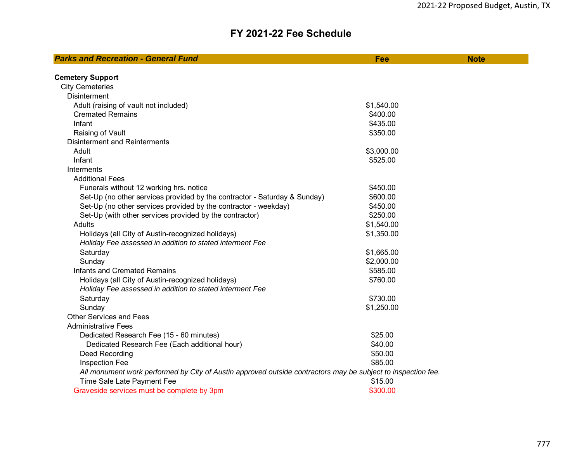| <b>Parks and Recreation - General Fund</b>                                                                   | Fee        | <b>Note</b> |
|--------------------------------------------------------------------------------------------------------------|------------|-------------|
| <b>Cemetery Support</b>                                                                                      |            |             |
| <b>City Cemeteries</b>                                                                                       |            |             |
| <b>Disinterment</b>                                                                                          |            |             |
| Adult (raising of vault not included)                                                                        | \$1,540.00 |             |
| <b>Cremated Remains</b>                                                                                      | \$400.00   |             |
| Infant                                                                                                       | \$435.00   |             |
| Raising of Vault                                                                                             | \$350.00   |             |
| <b>Disinterment and Reinterments</b>                                                                         |            |             |
| Adult                                                                                                        | \$3,000.00 |             |
| Infant                                                                                                       | \$525.00   |             |
| Interments                                                                                                   |            |             |
| <b>Additional Fees</b>                                                                                       |            |             |
| Funerals without 12 working hrs. notice                                                                      | \$450.00   |             |
| Set-Up (no other services provided by the contractor - Saturday & Sunday)                                    | \$600.00   |             |
| Set-Up (no other services provided by the contractor - weekday)                                              | \$450.00   |             |
| Set-Up (with other services provided by the contractor)                                                      | \$250.00   |             |
| Adults                                                                                                       | \$1,540.00 |             |
| Holidays (all City of Austin-recognized holidays)                                                            | \$1,350.00 |             |
| Holiday Fee assessed in addition to stated interment Fee                                                     |            |             |
| Saturday                                                                                                     | \$1,665.00 |             |
| Sunday                                                                                                       | \$2,000.00 |             |
| Infants and Cremated Remains                                                                                 | \$585.00   |             |
| Holidays (all City of Austin-recognized holidays)                                                            | \$760.00   |             |
| Holiday Fee assessed in addition to stated interment Fee                                                     |            |             |
| Saturday                                                                                                     | \$730.00   |             |
| Sunday                                                                                                       | \$1,250.00 |             |
| Other Services and Fees                                                                                      |            |             |
| <b>Administrative Fees</b>                                                                                   |            |             |
| Dedicated Research Fee (15 - 60 minutes)                                                                     | \$25.00    |             |
| Dedicated Research Fee (Each additional hour)                                                                | \$40.00    |             |
| Deed Recording                                                                                               | \$50.00    |             |
| Inspection Fee                                                                                               | \$85.00    |             |
| All monument work performed by City of Austin approved outside contractors may be subject to inspection fee. |            |             |
| Time Sale Late Payment Fee                                                                                   | \$15.00    |             |
| Graveside services must be complete by 3pm                                                                   | \$300.00   |             |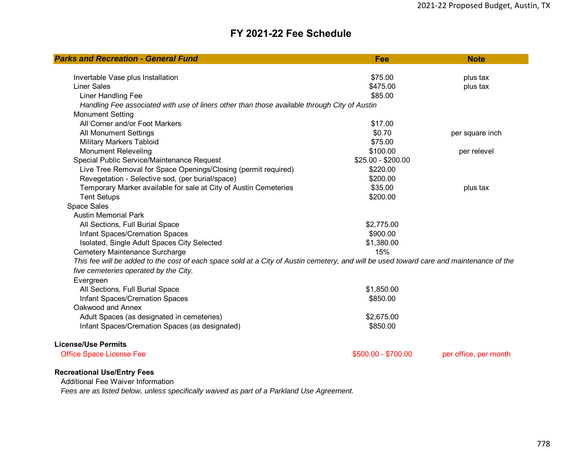| <b>Parks and Recreation - General Fund</b>                                                                                              | Fee                 | <b>Note</b>           |
|-----------------------------------------------------------------------------------------------------------------------------------------|---------------------|-----------------------|
|                                                                                                                                         |                     |                       |
| Invertable Vase plus Installation                                                                                                       | \$75.00             | plus tax              |
| <b>Liner Sales</b>                                                                                                                      | \$475.00            | plus tax              |
| <b>Liner Handling Fee</b>                                                                                                               | \$85.00             |                       |
| Handling Fee associated with use of liners other than those available through City of Austin                                            |                     |                       |
| <b>Monument Setting</b>                                                                                                                 |                     |                       |
| All Corner and/or Foot Markers                                                                                                          | \$17.00             |                       |
| <b>All Monument Settings</b>                                                                                                            | \$0.70              | per square inch       |
| Military Markers Tabloid                                                                                                                | \$75.00             |                       |
| <b>Monument Releveling</b>                                                                                                              | \$100.00            | per relevel           |
| Special Public Service/Maintenance Request                                                                                              | \$25.00 - \$200.00  |                       |
| Live Tree Removal for Space Openings/Closing (permit required)                                                                          | \$220.00            |                       |
| Revegetation - Selective sod, (per burial/space)                                                                                        | \$200.00            |                       |
| Temporary Marker available for sale at City of Austin Cemeteries                                                                        | \$35.00             | plus tax              |
| <b>Tent Setups</b>                                                                                                                      | \$200.00            |                       |
| <b>Space Sales</b>                                                                                                                      |                     |                       |
| <b>Austin Memorial Park</b>                                                                                                             |                     |                       |
| All Sections, Full Burial Space                                                                                                         | \$2,775.00          |                       |
| <b>Infant Spaces/Cremation Spaces</b>                                                                                                   | \$900.00            |                       |
| Isolated, Single Adult Spaces City Selected                                                                                             | \$1,380.00          |                       |
| Cemetery Maintenance Surcharge                                                                                                          | 15%                 |                       |
| This fee will be added to the cost of each space sold at a City of Austin cemetery, and will be used toward care and maintenance of the |                     |                       |
| five cemeteries operated by the City.                                                                                                   |                     |                       |
| Evergreen                                                                                                                               |                     |                       |
| All Sections, Full Burial Space                                                                                                         | \$1,850.00          |                       |
| <b>Infant Spaces/Cremation Spaces</b>                                                                                                   | \$850.00            |                       |
| Oakwood and Annex                                                                                                                       |                     |                       |
| Adult Spaces (as designated in cemeteries)                                                                                              | \$2,675.00          |                       |
| Infant Spaces/Cremation Spaces (as designated)                                                                                          | \$850.00            |                       |
|                                                                                                                                         |                     |                       |
| <b>License/Use Permits</b>                                                                                                              |                     |                       |
| <b>Office Space License Fee</b>                                                                                                         | \$500.00 - \$700.00 | per office, per month |
| <b>Recreational Use/Entry Fees</b>                                                                                                      |                     |                       |

Additional Fee Waiver Information

*Fees are as listed below, unless specifically waived as part of a Parkland Use Agreement.*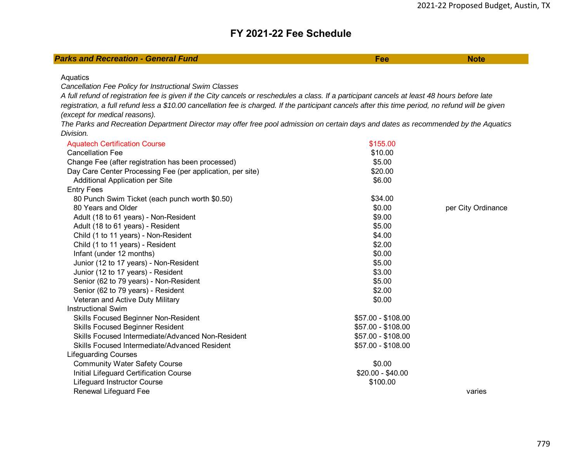| <b>Parks and Recreation - General Fund</b>                                                                                                                                                                                                                                                          | Fee                | <b>Note</b>        |
|-----------------------------------------------------------------------------------------------------------------------------------------------------------------------------------------------------------------------------------------------------------------------------------------------------|--------------------|--------------------|
|                                                                                                                                                                                                                                                                                                     |                    |                    |
| Aquatics                                                                                                                                                                                                                                                                                            |                    |                    |
| Cancellation Fee Policy for Instructional Swim Classes                                                                                                                                                                                                                                              |                    |                    |
| A full refund of registration fee is given if the City cancels or reschedules a class. If a participant cancels at least 48 hours before late<br>registration, a full refund less a \$10.00 cancellation fee is charged. If the participant cancels after this time period, no refund will be given |                    |                    |
|                                                                                                                                                                                                                                                                                                     |                    |                    |
| (except for medical reasons).<br>The Parks and Recreation Department Director may offer free pool admission on certain days and dates as recommended by the Aquatics                                                                                                                                |                    |                    |
| Division.                                                                                                                                                                                                                                                                                           |                    |                    |
|                                                                                                                                                                                                                                                                                                     |                    |                    |
| <b>Aquatech Certification Course</b>                                                                                                                                                                                                                                                                | \$155.00           |                    |
| <b>Cancellation Fee</b>                                                                                                                                                                                                                                                                             | \$10.00            |                    |
| Change Fee (after registration has been processed)                                                                                                                                                                                                                                                  | \$5.00             |                    |
| Day Care Center Processing Fee (per application, per site)                                                                                                                                                                                                                                          | \$20.00            |                    |
| Additional Application per Site                                                                                                                                                                                                                                                                     | \$6.00             |                    |
| <b>Entry Fees</b>                                                                                                                                                                                                                                                                                   |                    |                    |
| 80 Punch Swim Ticket (each punch worth \$0.50)<br>80 Years and Older                                                                                                                                                                                                                                | \$34.00<br>\$0.00  |                    |
|                                                                                                                                                                                                                                                                                                     | \$9.00             | per City Ordinance |
| Adult (18 to 61 years) - Non-Resident<br>Adult (18 to 61 years) - Resident                                                                                                                                                                                                                          | \$5.00             |                    |
| Child (1 to 11 years) - Non-Resident                                                                                                                                                                                                                                                                | \$4.00             |                    |
| Child (1 to 11 years) - Resident                                                                                                                                                                                                                                                                    | \$2.00             |                    |
| Infant (under 12 months)                                                                                                                                                                                                                                                                            | \$0.00             |                    |
| Junior (12 to 17 years) - Non-Resident                                                                                                                                                                                                                                                              | \$5.00             |                    |
| Junior (12 to 17 years) - Resident                                                                                                                                                                                                                                                                  | \$3.00             |                    |
| Senior (62 to 79 years) - Non-Resident                                                                                                                                                                                                                                                              | \$5.00             |                    |
| Senior (62 to 79 years) - Resident                                                                                                                                                                                                                                                                  | \$2.00             |                    |
| Veteran and Active Duty Military                                                                                                                                                                                                                                                                    | \$0.00             |                    |
| <b>Instructional Swim</b>                                                                                                                                                                                                                                                                           |                    |                    |
| <b>Skills Focused Beginner Non-Resident</b>                                                                                                                                                                                                                                                         | \$57.00 - \$108.00 |                    |
| <b>Skills Focused Beginner Resident</b>                                                                                                                                                                                                                                                             | \$57.00 - \$108.00 |                    |
| Skills Focused Intermediate/Advanced Non-Resident                                                                                                                                                                                                                                                   | \$57.00 - \$108.00 |                    |
| Skills Focused Intermediate/Advanced Resident                                                                                                                                                                                                                                                       | \$57.00 - \$108.00 |                    |
| <b>Lifeguarding Courses</b>                                                                                                                                                                                                                                                                         |                    |                    |
| <b>Community Water Safety Course</b>                                                                                                                                                                                                                                                                | \$0.00             |                    |
| Initial Lifeguard Certification Course                                                                                                                                                                                                                                                              | $$20.00 - $40.00$  |                    |
| Lifeguard Instructor Course                                                                                                                                                                                                                                                                         | \$100.00           |                    |
| Renewal Lifeguard Fee                                                                                                                                                                                                                                                                               |                    | varies             |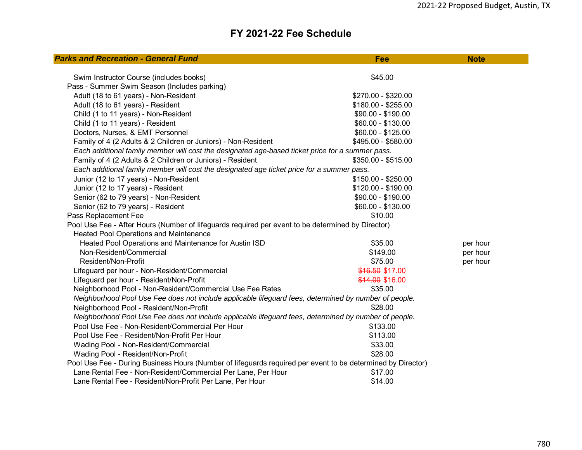| <b>Parks and Recreation - General Fund</b>                                                                  | Fee                 | <b>Note</b> |
|-------------------------------------------------------------------------------------------------------------|---------------------|-------------|
|                                                                                                             |                     |             |
| Swim Instructor Course (includes books)                                                                     | \$45.00             |             |
| Pass - Summer Swim Season (Includes parking)                                                                |                     |             |
| Adult (18 to 61 years) - Non-Resident                                                                       | \$270.00 - \$320.00 |             |
| Adult (18 to 61 years) - Resident                                                                           | $$180.00 - $255.00$ |             |
| Child (1 to 11 years) - Non-Resident                                                                        | \$90.00 - \$190.00  |             |
| Child (1 to 11 years) - Resident                                                                            | \$60.00 - \$130.00  |             |
| Doctors, Nurses, & EMT Personnel                                                                            | $$60.00 - $125.00$  |             |
| Family of 4 (2 Adults & 2 Children or Juniors) - Non-Resident                                               | \$495.00 - \$580.00 |             |
| Each additional family member will cost the designated age-based ticket price for a summer pass.            |                     |             |
| Family of 4 (2 Adults & 2 Children or Juniors) - Resident                                                   | \$350.00 - \$515.00 |             |
| Each additional family member will cost the designated age ticket price for a summer pass.                  |                     |             |
| Junior (12 to 17 years) - Non-Resident                                                                      | \$150.00 - \$250.00 |             |
| Junior (12 to 17 years) - Resident                                                                          | $$120.00 - $190.00$ |             |
| Senior (62 to 79 years) - Non-Resident                                                                      | \$90.00 - \$190.00  |             |
| Senior (62 to 79 years) - Resident                                                                          | \$60.00 - \$130.00  |             |
| Pass Replacement Fee                                                                                        | \$10.00             |             |
| Pool Use Fee - After Hours (Number of lifeguards required per event to be determined by Director)           |                     |             |
| Heated Pool Operations and Maintenance                                                                      |                     |             |
| Heated Pool Operations and Maintenance for Austin ISD                                                       | \$35.00             | per hour    |
| Non-Resident/Commercial                                                                                     | \$149.00            | per hour    |
| Resident/Non-Profit                                                                                         | \$75.00             | per hour    |
| Lifeguard per hour - Non-Resident/Commercial                                                                | \$16.50 \$17.00     |             |
| Lifeguard per hour - Resident/Non-Profit                                                                    | \$14.00 \$16.00     |             |
| Neighborhood Pool - Non-Resident/Commercial Use Fee Rates                                                   | \$35.00             |             |
| Neighborhood Pool Use Fee does not include applicable lifeguard fees, determined by number of people.       |                     |             |
| Neighborhood Pool - Resident/Non-Profit                                                                     | \$28.00             |             |
| Neighborhood Pool Use Fee does not include applicable lifeguard fees, determined by number of people.       |                     |             |
| Pool Use Fee - Non-Resident/Commercial Per Hour                                                             | \$133.00            |             |
| Pool Use Fee - Resident/Non-Profit Per Hour                                                                 | \$113.00            |             |
| Wading Pool - Non-Resident/Commercial                                                                       | \$33.00             |             |
| Wading Pool - Resident/Non-Profit                                                                           | \$28.00             |             |
| Pool Use Fee - During Business Hours (Number of lifeguards required per event to be determined by Director) |                     |             |
| Lane Rental Fee - Non-Resident/Commercial Per Lane, Per Hour                                                | \$17.00             |             |
| Lane Rental Fee - Resident/Non-Profit Per Lane, Per Hour                                                    | \$14.00             |             |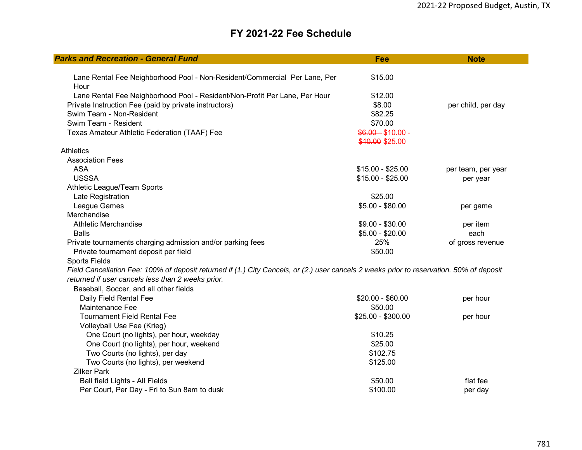| <b>Parks and Recreation - General Fund</b>                                                                                               | Fee                | <b>Note</b>        |
|------------------------------------------------------------------------------------------------------------------------------------------|--------------------|--------------------|
|                                                                                                                                          |                    |                    |
| Lane Rental Fee Neighborhood Pool - Non-Resident/Commercial Per Lane, Per                                                                | \$15.00            |                    |
| Hour                                                                                                                                     |                    |                    |
| Lane Rental Fee Neighborhood Pool - Resident/Non-Profit Per Lane, Per Hour                                                               | \$12.00            |                    |
| Private Instruction Fee (paid by private instructors)                                                                                    | \$8.00             | per child, per day |
| Swim Team - Non-Resident                                                                                                                 | \$82.25            |                    |
| Swim Team - Resident                                                                                                                     | \$70.00            |                    |
| Texas Amateur Athletic Federation (TAAF) Fee                                                                                             | $$6.00 - $10.00 -$ |                    |
|                                                                                                                                          | \$10.00 \$25.00    |                    |
| <b>Athletics</b>                                                                                                                         |                    |                    |
| <b>Association Fees</b>                                                                                                                  |                    |                    |
| <b>ASA</b><br><b>USSSA</b>                                                                                                               | $$15.00 - $25.00$  | per team, per year |
|                                                                                                                                          | $$15.00 - $25.00$  | per year           |
| Athletic League/Team Sports                                                                                                              |                    |                    |
| Late Registration                                                                                                                        | \$25.00            |                    |
| League Games                                                                                                                             | $$5.00 - $80.00$   | per game           |
| Merchandise                                                                                                                              |                    |                    |
| <b>Athletic Merchandise</b>                                                                                                              | $$9.00 - $30.00$   | per item           |
| <b>Balls</b>                                                                                                                             | $$5.00 - $20.00$   | each               |
| Private tournaments charging admission and/or parking fees                                                                               | 25%                | of gross revenue   |
| Private tournament deposit per field                                                                                                     | \$50.00            |                    |
| <b>Sports Fields</b>                                                                                                                     |                    |                    |
| Field Cancellation Fee: 100% of deposit returned if (1.) City Cancels, or (2.) user cancels 2 weeks prior to reservation. 50% of deposit |                    |                    |
| returned if user cancels less than 2 weeks prior.                                                                                        |                    |                    |
| Baseball, Soccer, and all other fields                                                                                                   |                    |                    |
| Daily Field Rental Fee                                                                                                                   | $$20.00 - $60.00$  | per hour           |
| Maintenance Fee                                                                                                                          | \$50.00            |                    |
| <b>Tournament Field Rental Fee</b>                                                                                                       | \$25.00 - \$300.00 | per hour           |
| Volleyball Use Fee (Krieg)                                                                                                               |                    |                    |
| One Court (no lights), per hour, weekday                                                                                                 | \$10.25            |                    |
| One Court (no lights), per hour, weekend                                                                                                 | \$25.00            |                    |
| Two Courts (no lights), per day                                                                                                          | \$102.75           |                    |
| Two Courts (no lights), per weekend                                                                                                      | \$125.00           |                    |
| <b>Zilker Park</b>                                                                                                                       |                    |                    |
| Ball field Lights - All Fields                                                                                                           | \$50.00            | flat fee           |
| Per Court, Per Day - Fri to Sun 8am to dusk                                                                                              | \$100.00           | per day            |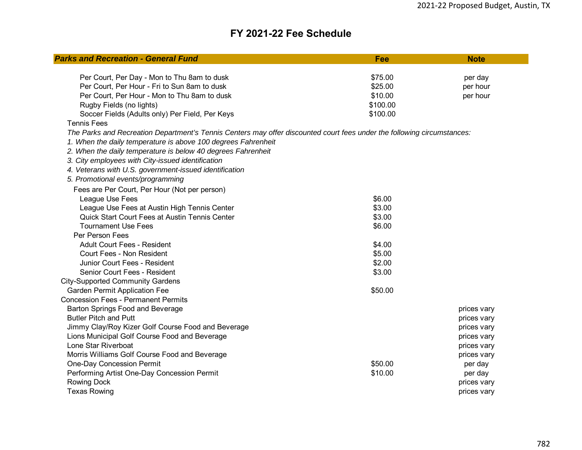| <b>Parks and Recreation - General Fund</b>                                                                              | Fee      | <b>Note</b> |
|-------------------------------------------------------------------------------------------------------------------------|----------|-------------|
|                                                                                                                         |          |             |
| Per Court, Per Day - Mon to Thu 8am to dusk                                                                             | \$75.00  | per day     |
| Per Court, Per Hour - Fri to Sun 8am to dusk                                                                            | \$25.00  | per hour    |
| Per Court, Per Hour - Mon to Thu 8am to dusk                                                                            | \$10.00  | per hour    |
| Rugby Fields (no lights)                                                                                                | \$100.00 |             |
| Soccer Fields (Adults only) Per Field, Per Keys                                                                         | \$100.00 |             |
| <b>Tennis Fees</b>                                                                                                      |          |             |
| The Parks and Recreation Department's Tennis Centers may offer discounted court fees under the following circumstances: |          |             |
| 1. When the daily temperature is above 100 degrees Fahrenheit                                                           |          |             |
| 2. When the daily temperature is below 40 degrees Fahrenheit                                                            |          |             |
| 3. City employees with City-issued identification                                                                       |          |             |
| 4. Veterans with U.S. government-issued identification                                                                  |          |             |
| 5. Promotional events/programming                                                                                       |          |             |
| Fees are Per Court, Per Hour (Not per person)                                                                           |          |             |
| League Use Fees                                                                                                         | \$6.00   |             |
| League Use Fees at Austin High Tennis Center                                                                            | \$3.00   |             |
| Quick Start Court Fees at Austin Tennis Center                                                                          | \$3.00   |             |
| <b>Tournament Use Fees</b>                                                                                              | \$6.00   |             |
| Per Person Fees                                                                                                         |          |             |
| <b>Adult Court Fees - Resident</b>                                                                                      | \$4.00   |             |
| Court Fees - Non Resident                                                                                               | \$5.00   |             |
| Junior Court Fees - Resident                                                                                            | \$2.00   |             |
| Senior Court Fees - Resident                                                                                            | \$3.00   |             |
| <b>City-Supported Community Gardens</b>                                                                                 |          |             |
| <b>Garden Permit Application Fee</b>                                                                                    | \$50.00  |             |
| <b>Concession Fees - Permanent Permits</b>                                                                              |          |             |
| Barton Springs Food and Beverage                                                                                        |          | prices vary |
| <b>Butler Pitch and Putt</b>                                                                                            |          | prices vary |
| Jimmy Clay/Roy Kizer Golf Course Food and Beverage                                                                      |          | prices vary |
| Lions Municipal Golf Course Food and Beverage                                                                           |          | prices vary |
| Lone Star Riverboat                                                                                                     |          | prices vary |
| Morris Williams Golf Course Food and Beverage                                                                           |          | prices vary |
| <b>One-Day Concession Permit</b>                                                                                        | \$50.00  | per day     |
| Performing Artist One-Day Concession Permit                                                                             | \$10.00  | per day     |
| <b>Rowing Dock</b>                                                                                                      |          | prices vary |
| <b>Texas Rowing</b>                                                                                                     |          | prices vary |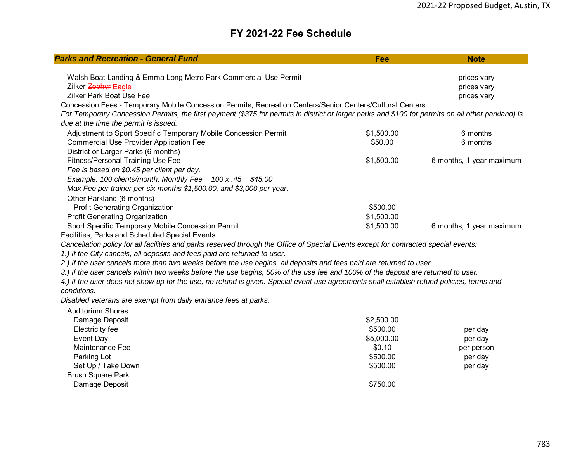| <b>Parks and Recreation - General Fund</b>                                                                                                         | Fee        | <b>Note</b>              |
|----------------------------------------------------------------------------------------------------------------------------------------------------|------------|--------------------------|
|                                                                                                                                                    |            |                          |
| Walsh Boat Landing & Emma Long Metro Park Commercial Use Permit                                                                                    |            | prices vary              |
| Zilker Zephyr Eagle                                                                                                                                |            | prices vary              |
| <b>Zilker Park Boat Use Fee</b>                                                                                                                    |            | prices vary              |
| Concession Fees - Temporary Mobile Concession Permits, Recreation Centers/Senior Centers/Cultural Centers                                          |            |                          |
| For Temporary Concession Permits, the first payment (\$375 for permits in district or larger parks and \$100 for permits on all other parkland) is |            |                          |
| due at the time the permit is issued.                                                                                                              |            |                          |
| Adjustment to Sport Specific Temporary Mobile Concession Permit                                                                                    | \$1,500.00 | 6 months                 |
| <b>Commercial Use Provider Application Fee</b>                                                                                                     | \$50.00    | 6 months                 |
| District or Larger Parks (6 months)                                                                                                                |            |                          |
| <b>Fitness/Personal Training Use Fee</b>                                                                                                           | \$1,500.00 | 6 months, 1 year maximum |
| Fee is based on \$0.45 per client per day.                                                                                                         |            |                          |
| Example: 100 clients/month. Monthly Fee = $100 \times .45 = $45.00$                                                                                |            |                          |
| Max Fee per trainer per six months \$1,500.00, and \$3,000 per year.                                                                               |            |                          |
| Other Parkland (6 months)                                                                                                                          |            |                          |
| <b>Profit Generating Organization</b>                                                                                                              | \$500.00   |                          |
| <b>Profit Generating Organization</b>                                                                                                              | \$1,500.00 |                          |
| Sport Specific Temporary Mobile Concession Permit                                                                                                  | \$1,500.00 | 6 months, 1 year maximum |
| Facilities, Parks and Scheduled Special Events                                                                                                     |            |                          |
| Cancellation policy for all facilities and parks reserved through the Office of Special Events except for contracted special events:               |            |                          |
| 1.) If the City cancels, all deposits and fees paid are returned to user.                                                                          |            |                          |
| 2.) If the user cancels more than two weeks before the use begins, all deposits and fees paid are returned to user.                                |            |                          |
| 3.) If the user cancels within two weeks before the use begins, 50% of the use fee and 100% of the deposit are returned to user.                   |            |                          |
| 4.) If the user does not show up for the use, no refund is given. Special event use agreements shall establish refund policies, terms and          |            |                          |
| conditions.                                                                                                                                        |            |                          |
| Disabled veterans are exempt from daily entrance fees at parks.                                                                                    |            |                          |
| <b>Auditorium Shores</b>                                                                                                                           |            |                          |
| Damage Deposit                                                                                                                                     | \$2,500.00 |                          |
| Electricity fee                                                                                                                                    | \$500.00   | per day                  |
| Event Day                                                                                                                                          | \$5,000.00 | per day                  |
| Maintenance Fee                                                                                                                                    | \$0.10     | per person               |
| Parking Lot                                                                                                                                        | \$500.00   | per day                  |
| Set Up / Take Down                                                                                                                                 | \$500.00   | per day                  |
| <b>Brush Square Park</b>                                                                                                                           |            |                          |
| Damage Deposit                                                                                                                                     | \$750.00   |                          |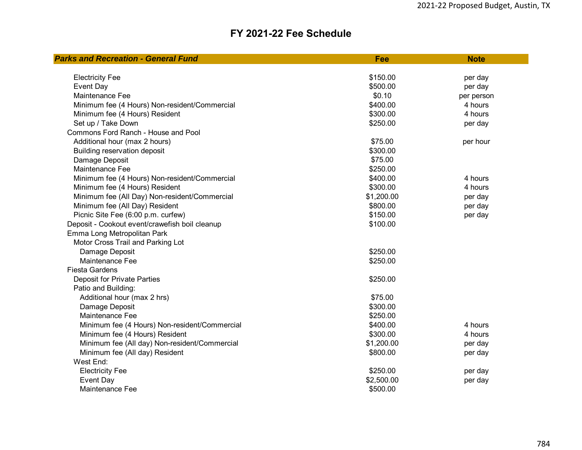| <b>Parks and Recreation - General Fund</b>     | Fee        | <b>Note</b> |
|------------------------------------------------|------------|-------------|
|                                                |            |             |
| <b>Electricity Fee</b>                         | \$150.00   | per day     |
| <b>Event Day</b>                               | \$500.00   | per day     |
| Maintenance Fee                                | \$0.10     | per person  |
| Minimum fee (4 Hours) Non-resident/Commercial  | \$400.00   | 4 hours     |
| Minimum fee (4 Hours) Resident                 | \$300.00   | 4 hours     |
| Set up / Take Down                             | \$250.00   | per day     |
| Commons Ford Ranch - House and Pool            |            |             |
| Additional hour (max 2 hours)                  | \$75.00    | per hour    |
| Building reservation deposit                   | \$300.00   |             |
| Damage Deposit                                 | \$75.00    |             |
| Maintenance Fee                                | \$250.00   |             |
| Minimum fee (4 Hours) Non-resident/Commercial  | \$400.00   | 4 hours     |
| Minimum fee (4 Hours) Resident                 | \$300.00   | 4 hours     |
| Minimum fee (All Day) Non-resident/Commercial  | \$1,200.00 | per day     |
| Minimum fee (All Day) Resident                 | \$800.00   | per day     |
| Picnic Site Fee (6:00 p.m. curfew)             | \$150.00   | per day     |
| Deposit - Cookout event/crawefish boil cleanup | \$100.00   |             |
| Emma Long Metropolitan Park                    |            |             |
| Motor Cross Trail and Parking Lot              |            |             |
| Damage Deposit                                 | \$250.00   |             |
| Maintenance Fee                                | \$250.00   |             |
| <b>Fiesta Gardens</b>                          |            |             |
| <b>Deposit for Private Parties</b>             | \$250.00   |             |
| Patio and Building:                            |            |             |
| Additional hour (max 2 hrs)                    | \$75.00    |             |
| Damage Deposit                                 | \$300.00   |             |
| Maintenance Fee                                | \$250.00   |             |
| Minimum fee (4 Hours) Non-resident/Commercial  | \$400.00   | 4 hours     |
| Minimum fee (4 Hours) Resident                 | \$300.00   | 4 hours     |
| Minimum fee (All day) Non-resident/Commercial  | \$1,200.00 | per day     |
| Minimum fee (All day) Resident                 | \$800.00   | per day     |
| West End:                                      |            |             |
| <b>Electricity Fee</b>                         | \$250.00   | per day     |
| Event Day                                      | \$2,500.00 | per day     |
| Maintenance Fee                                | \$500.00   |             |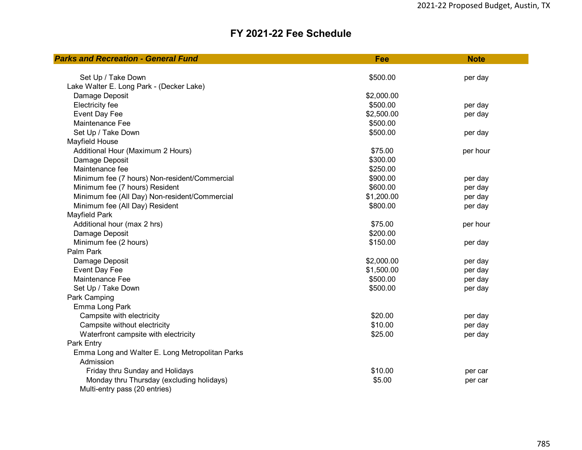| <b>Parks and Recreation - General Fund</b>      | Fee        | <b>Note</b> |
|-------------------------------------------------|------------|-------------|
|                                                 |            |             |
| Set Up / Take Down                              | \$500.00   | per day     |
| Lake Walter E. Long Park - (Decker Lake)        |            |             |
| Damage Deposit                                  | \$2,000.00 |             |
| Electricity fee                                 | \$500.00   | per day     |
| Event Day Fee                                   | \$2,500.00 | per day     |
| Maintenance Fee                                 | \$500.00   |             |
| Set Up / Take Down                              | \$500.00   | per day     |
| Mayfield House                                  |            |             |
| Additional Hour (Maximum 2 Hours)               | \$75.00    | per hour    |
| Damage Deposit                                  | \$300.00   |             |
| Maintenance fee                                 | \$250.00   |             |
| Minimum fee (7 hours) Non-resident/Commercial   | \$900.00   | per day     |
| Minimum fee (7 hours) Resident                  | \$600.00   | per day     |
| Minimum fee (All Day) Non-resident/Commercial   | \$1,200.00 | per day     |
| Minimum fee (All Day) Resident                  | \$800.00   | per day     |
| <b>Mayfield Park</b>                            |            |             |
| Additional hour (max 2 hrs)                     | \$75.00    | per hour    |
| Damage Deposit                                  | \$200.00   |             |
| Minimum fee (2 hours)                           | \$150.00   | per day     |
| Palm Park                                       |            |             |
| Damage Deposit                                  | \$2,000.00 | per day     |
| Event Day Fee                                   | \$1,500.00 | per day     |
| Maintenance Fee                                 | \$500.00   | per day     |
| Set Up / Take Down                              | \$500.00   | per day     |
| Park Camping                                    |            |             |
| Emma Long Park                                  |            |             |
| Campsite with electricity                       | \$20.00    | per day     |
| Campsite without electricity                    | \$10.00    | per day     |
| Waterfront campsite with electricity            | \$25.00    | per day     |
| Park Entry                                      |            |             |
| Emma Long and Walter E. Long Metropolitan Parks |            |             |
| Admission                                       |            |             |
| Friday thru Sunday and Holidays                 | \$10.00    | per car     |
| Monday thru Thursday (excluding holidays)       | \$5.00     | per car     |
| Multi-entry pass (20 entries)                   |            |             |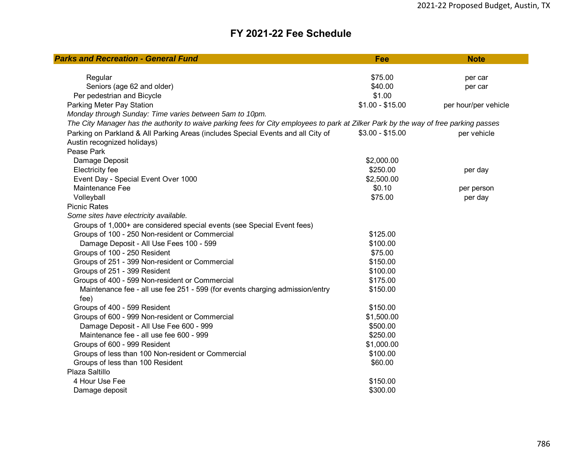| <b>Parks and Recreation - General Fund</b>                                                                                           | Fee              | <b>Note</b>          |
|--------------------------------------------------------------------------------------------------------------------------------------|------------------|----------------------|
|                                                                                                                                      |                  |                      |
| Regular                                                                                                                              | \$75.00          | per car              |
| Seniors (age 62 and older)                                                                                                           | \$40.00          | per car              |
| Per pedestrian and Bicycle                                                                                                           | \$1.00           |                      |
| Parking Meter Pay Station                                                                                                            | $$1.00 - $15.00$ | per hour/per vehicle |
| Monday through Sunday: Time varies between 5am to 10pm.                                                                              |                  |                      |
| The City Manager has the authority to waive parking fees for City employees to park at Zilker Park by the way of free parking passes |                  |                      |
| Parking on Parkland & All Parking Areas (includes Special Events and all City of                                                     | $$3.00 - $15.00$ | per vehicle          |
| Austin recognized holidays)                                                                                                          |                  |                      |
| Pease Park                                                                                                                           |                  |                      |
| Damage Deposit                                                                                                                       | \$2,000.00       |                      |
| Electricity fee                                                                                                                      | \$250.00         | per day              |
| Event Day - Special Event Over 1000                                                                                                  | \$2,500.00       |                      |
| <b>Maintenance Fee</b>                                                                                                               | \$0.10           | per person           |
| Volleyball                                                                                                                           | \$75.00          | per day              |
| <b>Picnic Rates</b>                                                                                                                  |                  |                      |
| Some sites have electricity available.                                                                                               |                  |                      |
| Groups of 1,000+ are considered special events (see Special Event fees)                                                              |                  |                      |
| Groups of 100 - 250 Non-resident or Commercial                                                                                       | \$125.00         |                      |
| Damage Deposit - All Use Fees 100 - 599                                                                                              | \$100.00         |                      |
| Groups of 100 - 250 Resident                                                                                                         | \$75.00          |                      |
| Groups of 251 - 399 Non-resident or Commercial                                                                                       | \$150.00         |                      |
| Groups of 251 - 399 Resident                                                                                                         | \$100.00         |                      |
| Groups of 400 - 599 Non-resident or Commercial                                                                                       | \$175.00         |                      |
| Maintenance fee - all use fee 251 - 599 (for events charging admission/entry                                                         | \$150.00         |                      |
| fee)                                                                                                                                 |                  |                      |
| Groups of 400 - 599 Resident                                                                                                         | \$150.00         |                      |
| Groups of 600 - 999 Non-resident or Commercial                                                                                       | \$1,500.00       |                      |
| Damage Deposit - All Use Fee 600 - 999                                                                                               | \$500.00         |                      |
| Maintenance fee - all use fee 600 - 999                                                                                              | \$250.00         |                      |
| Groups of 600 - 999 Resident                                                                                                         | \$1,000.00       |                      |
| Groups of less than 100 Non-resident or Commercial                                                                                   | \$100.00         |                      |
| Groups of less than 100 Resident                                                                                                     | \$60.00          |                      |
| Plaza Saltillo                                                                                                                       |                  |                      |
| 4 Hour Use Fee                                                                                                                       | \$150.00         |                      |
| Damage deposit                                                                                                                       | \$300.00         |                      |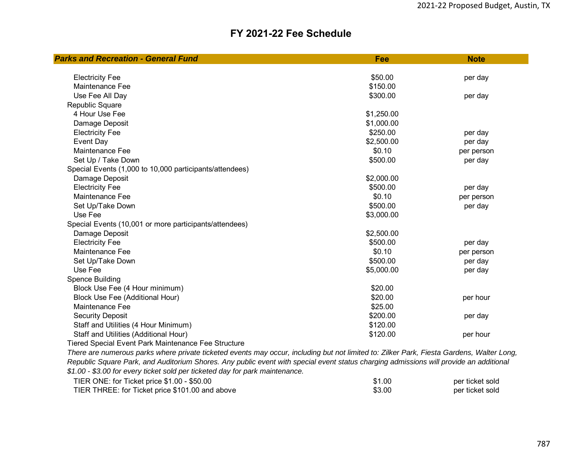| <b>Parks and Recreation - General Fund</b>                 | Fee        | <b>Note</b> |
|------------------------------------------------------------|------------|-------------|
|                                                            |            |             |
| <b>Electricity Fee</b>                                     | \$50.00    | per day     |
| Maintenance Fee                                            | \$150.00   |             |
| Use Fee All Day                                            | \$300.00   | per day     |
| <b>Republic Square</b>                                     |            |             |
| 4 Hour Use Fee                                             | \$1,250.00 |             |
| Damage Deposit                                             | \$1,000.00 |             |
| <b>Electricity Fee</b>                                     | \$250.00   | per day     |
| Event Day                                                  | \$2,500.00 | per day     |
| Maintenance Fee                                            | \$0.10     | per person  |
| Set Up / Take Down                                         | \$500.00   | per day     |
| Special Events (1,000 to 10,000 participants/attendees)    |            |             |
| Damage Deposit                                             | \$2,000.00 |             |
| <b>Electricity Fee</b>                                     | \$500.00   | per day     |
| Maintenance Fee                                            | \$0.10     | per person  |
| Set Up/Take Down                                           | \$500.00   | per day     |
| Use Fee                                                    | \$3,000.00 |             |
| Special Events (10,001 or more participants/attendees)     |            |             |
| Damage Deposit                                             | \$2,500.00 |             |
| <b>Electricity Fee</b>                                     | \$500.00   | per day     |
| Maintenance Fee                                            | \$0.10     | per person  |
| Set Up/Take Down                                           | \$500.00   | per day     |
| Use Fee                                                    | \$5,000.00 | per day     |
| <b>Spence Building</b>                                     |            |             |
| Block Use Fee (4 Hour minimum)                             | \$20.00    |             |
| Block Use Fee (Additional Hour)                            | \$20.00    | per hour    |
| Maintenance Fee                                            | \$25.00    |             |
| <b>Security Deposit</b>                                    | \$200.00   | per day     |
| Staff and Utilities (4 Hour Minimum)                       | \$120.00   |             |
| Staff and Utilities (Additional Hour)                      | \$120.00   | per hour    |
| <b>Tiered Special Event Park Maintenance Fee Structure</b> |            |             |

*There are numerous parks where private ticketed events may occur, including but not limited to: Zilker Park, Fiesta Gardens, Walter Long, Republic Square Park, and Auditorium Shores. Any public event with special event status charging admissions will provide an additional \$1.00 - \$3.00 for every ticket sold per ticketed day for park maintenance.*

| TIER ONE: for Ticket price \$1.00 - \$50.00     | \$1.00 | per ticket sold |
|-------------------------------------------------|--------|-----------------|
| TIER THREE: for Ticket price \$101.00 and above | \$3.00 | per ticket sold |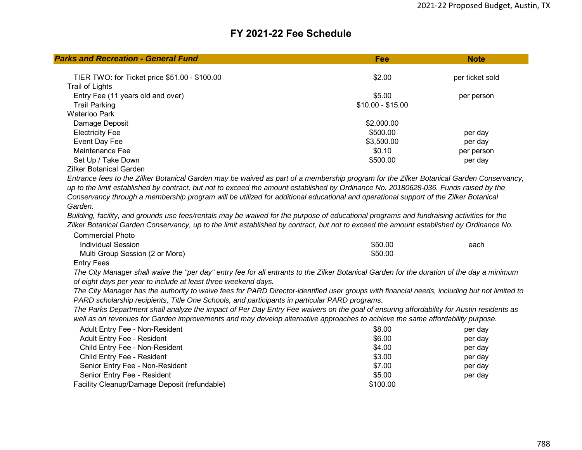| <b>Parks and Recreation - General Fund</b>    | Fee               | <b>Note</b>     |
|-----------------------------------------------|-------------------|-----------------|
| TIER TWO: for Ticket price \$51.00 - \$100.00 | \$2.00            | per ticket sold |
| Trail of Lights                               |                   |                 |
| Entry Fee (11 years old and over)             | \$5.00            | per person      |
| <b>Trail Parking</b>                          | $$10.00 - $15.00$ |                 |
| Waterloo Park                                 |                   |                 |
| Damage Deposit                                | \$2,000.00        |                 |
| <b>Electricity Fee</b>                        | \$500.00          | per day         |
| Event Day Fee                                 | \$3,500.00        | per day         |
| Maintenance Fee                               | \$0.10            | per person      |
| Set Up / Take Down                            | \$500.00          | per day         |
| $700$ cm $R = 1000$ cm $R = 1000$             |                   |                 |

Zilker Botanical Garden

*Entrance fees to the Zilker Botanical Garden may be waived as part of a membership program for the Zilker Botanical Garden Conservancy, up to the limit established by contract, but not to exceed the amount established by Ordinance No. 20180628-036. Funds raised by the Conservancy through a membership program will be utilized for additional educational and operational support of the Zilker Botanical Garden.*

Commercial Photo*Building, facility, and grounds use fees/rentals may be waived for the purpose of educational programs and fundraising activities for the Zilker Botanical Garden Conservancy, up to the limit established by contract, but not to exceed the amount established by Ordinance No.* 

| Commercial Photo                |         |      |
|---------------------------------|---------|------|
| Individual Session              | \$50.00 | each |
| Multi Group Session (2 or More) | \$50.00 |      |

#### Entry Fees

*The City Manager shall waive the "per day" entry fee for all entrants to the Zilker Botanical Garden for the duration of the day a minimum of eight days per year to include at least three weekend days.*

*The City Manager has the authority to waive fees for PARD Director-identified user groups with financial needs, including but not limited to PARD scholarship recipients, Title One Schools, and participants in particular PARD programs.*

*The Parks Department shall analyze the impact of Per Day Entry Fee waivers on the goal of ensuring affordability for Austin residents as well as on revenues for Garden improvements and may develop alternative approaches to achieve the same affordability purpose.*

| Adult Entry Fee - Non-Resident               | \$8.00   | per day |
|----------------------------------------------|----------|---------|
| Adult Entry Fee - Resident                   | \$6.00   | per day |
| Child Entry Fee - Non-Resident               | \$4.00   | per day |
| Child Entry Fee - Resident                   | \$3.00   | per day |
| Senior Entry Fee - Non-Resident              | \$7.00   | per day |
| Senior Entry Fee - Resident                  | \$5.00   | per day |
| Facility Cleanup/Damage Deposit (refundable) | \$100.00 |         |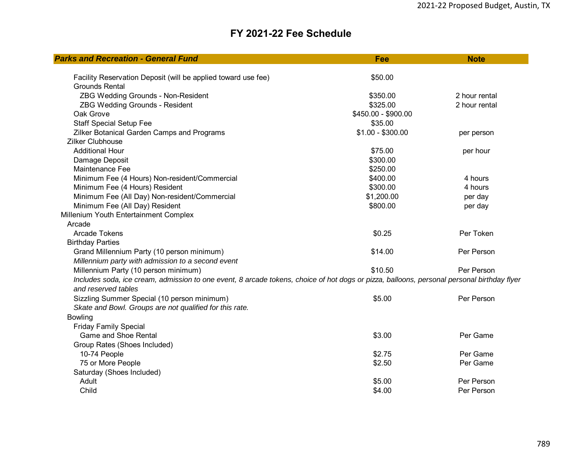| <b>Parks and Recreation - General Fund</b>                                                                                                 | Fee                 | <b>Note</b>   |
|--------------------------------------------------------------------------------------------------------------------------------------------|---------------------|---------------|
|                                                                                                                                            |                     |               |
| Facility Reservation Deposit (will be applied toward use fee)                                                                              | \$50.00             |               |
| <b>Grounds Rental</b>                                                                                                                      |                     |               |
| ZBG Wedding Grounds - Non-Resident                                                                                                         | \$350.00            | 2 hour rental |
| ZBG Wedding Grounds - Resident                                                                                                             | \$325.00            | 2 hour rental |
| Oak Grove                                                                                                                                  | \$450.00 - \$900.00 |               |
| <b>Staff Special Setup Fee</b>                                                                                                             | \$35.00             |               |
| Zilker Botanical Garden Camps and Programs                                                                                                 | $$1.00 - $300.00$   | per person    |
| Zilker Clubhouse                                                                                                                           |                     |               |
| <b>Additional Hour</b>                                                                                                                     | \$75.00             | per hour      |
| Damage Deposit                                                                                                                             | \$300.00            |               |
| Maintenance Fee                                                                                                                            | \$250.00            |               |
| Minimum Fee (4 Hours) Non-resident/Commercial                                                                                              | \$400.00            | 4 hours       |
| Minimum Fee (4 Hours) Resident                                                                                                             | \$300.00            | 4 hours       |
| Minimum Fee (All Day) Non-resident/Commercial                                                                                              | \$1,200.00          | per day       |
| Minimum Fee (All Day) Resident                                                                                                             | \$800.00            | per day       |
| Millenium Youth Entertainment Complex                                                                                                      |                     |               |
| Arcade                                                                                                                                     |                     |               |
| <b>Arcade Tokens</b>                                                                                                                       | \$0.25              | Per Token     |
| <b>Birthday Parties</b>                                                                                                                    |                     |               |
| Grand Millennium Party (10 person minimum)                                                                                                 | \$14.00             | Per Person    |
| Millennium party with admission to a second event                                                                                          |                     |               |
| Millennium Party (10 person minimum)                                                                                                       | \$10.50             | Per Person    |
| Includes soda, ice cream, admission to one event, 8 arcade tokens, choice of hot dogs or pizza, balloons, personal personal birthday flyer |                     |               |
| and reserved tables                                                                                                                        |                     |               |
| Sizzling Summer Special (10 person minimum)                                                                                                | \$5.00              | Per Person    |
| Skate and Bowl. Groups are not qualified for this rate.                                                                                    |                     |               |
| <b>Bowling</b>                                                                                                                             |                     |               |
| <b>Friday Family Special</b>                                                                                                               |                     |               |
| <b>Game and Shoe Rental</b>                                                                                                                | \$3.00              | Per Game      |
| Group Rates (Shoes Included)                                                                                                               |                     |               |
| 10-74 People                                                                                                                               | \$2.75              | Per Game      |
| 75 or More People                                                                                                                          | \$2.50              | Per Game      |
| Saturday (Shoes Included)                                                                                                                  |                     |               |
| Adult                                                                                                                                      | \$5.00              | Per Person    |
| Child                                                                                                                                      | \$4.00              | Per Person    |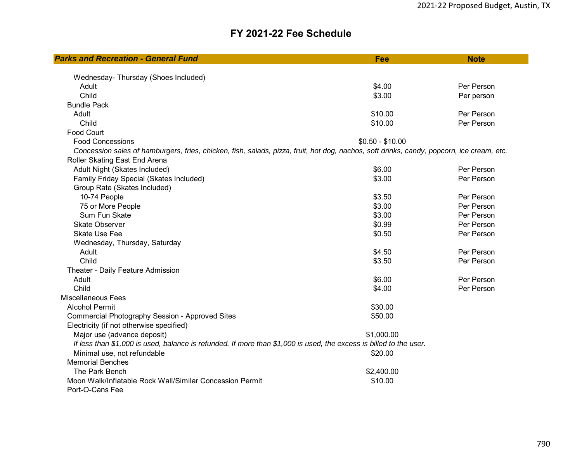| <b>Parks and Recreation - General Fund</b>                                                                                                | Fee              | <b>Note</b> |
|-------------------------------------------------------------------------------------------------------------------------------------------|------------------|-------------|
|                                                                                                                                           |                  |             |
| Wednesday- Thursday (Shoes Included)                                                                                                      |                  |             |
| Adult                                                                                                                                     | \$4.00           | Per Person  |
| Child                                                                                                                                     | \$3.00           | Per person  |
| <b>Bundle Pack</b>                                                                                                                        |                  |             |
| Adult                                                                                                                                     | \$10.00          | Per Person  |
| Child                                                                                                                                     | \$10.00          | Per Person  |
| <b>Food Court</b>                                                                                                                         |                  |             |
| <b>Food Concessions</b>                                                                                                                   | $$0.50 - $10.00$ |             |
| Concession sales of hamburgers, fries, chicken, fish, salads, pizza, fruit, hot dog, nachos, soft drinks, candy, popcorn, ice cream, etc. |                  |             |
| Roller Skating East End Arena                                                                                                             |                  |             |
| Adult Night (Skates Included)                                                                                                             | \$6.00           | Per Person  |
| Family Friday Special (Skates Included)                                                                                                   | \$3.00           | Per Person  |
| Group Rate (Skates Included)                                                                                                              |                  |             |
| 10-74 People                                                                                                                              | \$3.50           | Per Person  |
| 75 or More People                                                                                                                         | \$3.00           | Per Person  |
| Sum Fun Skate                                                                                                                             | \$3.00           | Per Person  |
| <b>Skate Observer</b>                                                                                                                     | \$0.99           | Per Person  |
| <b>Skate Use Fee</b>                                                                                                                      | \$0.50           | Per Person  |
| Wednesday, Thursday, Saturday                                                                                                             |                  |             |
| Adult                                                                                                                                     | \$4.50           | Per Person  |
| Child                                                                                                                                     | \$3.50           | Per Person  |
| Theater - Daily Feature Admission                                                                                                         |                  |             |
| Adult                                                                                                                                     | \$6.00           | Per Person  |
| Child                                                                                                                                     | \$4.00           | Per Person  |
| <b>Miscellaneous Fees</b>                                                                                                                 |                  |             |
| <b>Alcohol Permit</b>                                                                                                                     | \$30.00          |             |
| <b>Commercial Photography Session - Approved Sites</b>                                                                                    | \$50.00          |             |
| Electricity (if not otherwise specified)                                                                                                  |                  |             |
| Major use (advance deposit)                                                                                                               | \$1,000.00       |             |
| If less than \$1,000 is used, balance is refunded. If more than \$1,000 is used, the excess is billed to the user.                        |                  |             |
| Minimal use, not refundable                                                                                                               | \$20.00          |             |
| <b>Memorial Benches</b>                                                                                                                   |                  |             |
| The Park Bench                                                                                                                            | \$2,400.00       |             |
| Moon Walk/Inflatable Rock Wall/Similar Concession Permit                                                                                  | \$10.00          |             |
| Port-O-Cans Fee                                                                                                                           |                  |             |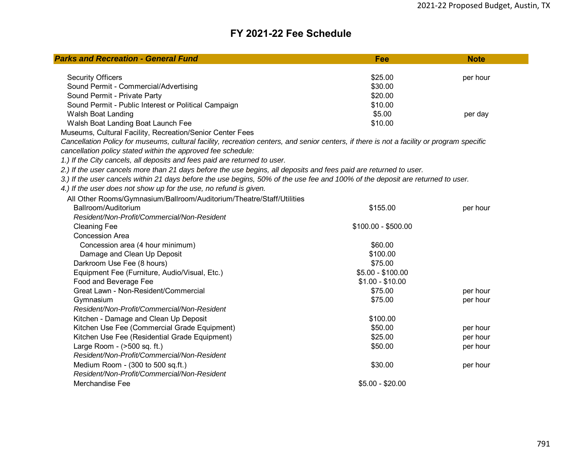| <b>Parks and Recreation - General Fund</b>                                                                                                 | Fee                 | <b>Note</b> |
|--------------------------------------------------------------------------------------------------------------------------------------------|---------------------|-------------|
|                                                                                                                                            |                     |             |
| <b>Security Officers</b>                                                                                                                   | \$25.00             | per hour    |
| Sound Permit - Commercial/Advertising                                                                                                      | \$30.00             |             |
| Sound Permit - Private Party                                                                                                               | \$20.00             |             |
| Sound Permit - Public Interest or Political Campaign                                                                                       | \$10.00             |             |
| Walsh Boat Landing                                                                                                                         | \$5.00              | per day     |
| Walsh Boat Landing Boat Launch Fee                                                                                                         | \$10.00             |             |
| Museums, Cultural Facility, Recreation/Senior Center Fees                                                                                  |                     |             |
| Cancellation Policy for museums, cultural facility, recreation centers, and senior centers, if there is not a facility or program specific |                     |             |
| cancellation policy stated within the approved fee schedule:                                                                               |                     |             |
| 1.) If the City cancels, all deposits and fees paid are returned to user.                                                                  |                     |             |
| 2.) If the user cancels more than 21 days before the use begins, all deposits and fees paid are returned to user.                          |                     |             |
| 3.) If the user cancels within 21 days before the use begins, 50% of the use fee and 100% of the deposit are returned to user.             |                     |             |
| 4.) If the user does not show up for the use, no refund is given.                                                                          |                     |             |
| All Other Rooms/Gymnasium/Ballroom/Auditorium/Theatre/Staff/Utilities                                                                      |                     |             |
| Ballroom/Auditorium                                                                                                                        | \$155.00            | per hour    |
| Resident/Non-Profit/Commercial/Non-Resident                                                                                                |                     |             |
| <b>Cleaning Fee</b>                                                                                                                        | $$100.00 - $500.00$ |             |
| <b>Concession Area</b>                                                                                                                     |                     |             |
| Concession area (4 hour minimum)                                                                                                           | \$60.00             |             |
| Damage and Clean Up Deposit                                                                                                                | \$100.00            |             |
| Darkroom Use Fee (8 hours)                                                                                                                 | \$75.00             |             |
| Equipment Fee (Furniture, Audio/Visual, Etc.)                                                                                              | \$5.00 - \$100.00   |             |
| Food and Beverage Fee                                                                                                                      | $$1.00 - $10.00$    |             |
| Great Lawn - Non-Resident/Commercial                                                                                                       | \$75.00             | per hour    |
| Gymnasium                                                                                                                                  | \$75.00             | per hour    |
| Resident/Non-Profit/Commercial/Non-Resident                                                                                                |                     |             |
| Kitchen - Damage and Clean Up Deposit                                                                                                      | \$100.00            |             |
| Kitchen Use Fee (Commercial Grade Equipment)                                                                                               | \$50.00             | per hour    |
| Kitchen Use Fee (Residential Grade Equipment)                                                                                              | \$25.00             | per hour    |
| Large Room - (>500 sq. ft.)                                                                                                                | \$50.00             | per hour    |
| Resident/Non-Profit/Commercial/Non-Resident                                                                                                |                     |             |
| Medium Room - (300 to 500 sq.ft.)                                                                                                          | \$30.00             | per hour    |
| Resident/Non-Profit/Commercial/Non-Resident                                                                                                |                     |             |
| Merchandise Fee                                                                                                                            | $$5.00 - $20.00$    |             |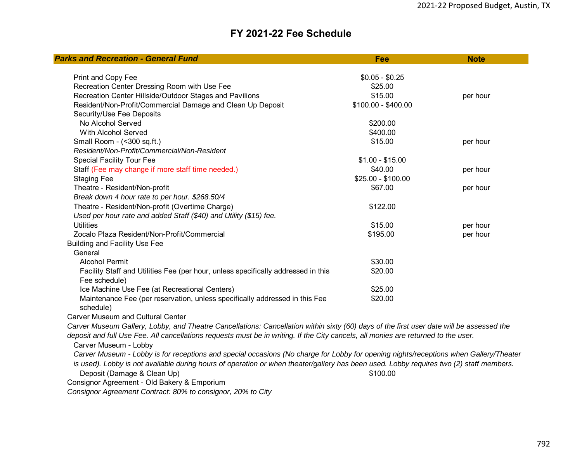| <b>Parks and Recreation - General Fund</b>                                                                                               | Fee                 | <b>Note</b> |
|------------------------------------------------------------------------------------------------------------------------------------------|---------------------|-------------|
|                                                                                                                                          |                     |             |
| Print and Copy Fee                                                                                                                       | $$0.05 - $0.25$     |             |
| Recreation Center Dressing Room with Use Fee                                                                                             | \$25.00             |             |
| Recreation Center Hillside/Outdoor Stages and Pavilions                                                                                  | \$15.00             | per hour    |
| Resident/Non-Profit/Commercial Damage and Clean Up Deposit                                                                               | \$100.00 - \$400.00 |             |
| Security/Use Fee Deposits                                                                                                                |                     |             |
| No Alcohol Served                                                                                                                        | \$200.00            |             |
| With Alcohol Served                                                                                                                      | \$400.00            |             |
| Small Room - (<300 sq.ft.)                                                                                                               | \$15.00             | per hour    |
| Resident/Non-Profit/Commercial/Non-Resident                                                                                              |                     |             |
| <b>Special Facility Tour Fee</b>                                                                                                         | $$1.00 - $15.00$    |             |
| Staff (Fee may change if more staff time needed.)                                                                                        | \$40.00             | per hour    |
| <b>Staging Fee</b>                                                                                                                       | \$25.00 - \$100.00  |             |
| Theatre - Resident/Non-profit                                                                                                            | \$67.00             | per hour    |
| Break down 4 hour rate to per hour. \$268.50/4                                                                                           |                     |             |
| Theatre - Resident/Non-profit (Overtime Charge)                                                                                          | \$122.00            |             |
| Used per hour rate and added Staff (\$40) and Utility (\$15) fee.                                                                        |                     |             |
| <b>Utilities</b>                                                                                                                         | \$15.00             | per hour    |
| Zocalo Plaza Resident/Non-Profit/Commercial                                                                                              | \$195.00            | per hour    |
| <b>Building and Facility Use Fee</b>                                                                                                     |                     |             |
| General                                                                                                                                  |                     |             |
| <b>Alcohol Permit</b>                                                                                                                    | \$30.00             |             |
| Facility Staff and Utilities Fee (per hour, unless specifically addressed in this                                                        | \$20.00             |             |
| Fee schedule)                                                                                                                            |                     |             |
| Ice Machine Use Fee (at Recreational Centers)                                                                                            | \$25.00             |             |
| Maintenance Fee (per reservation, unless specifically addressed in this Fee<br>schedule)                                                 | \$20.00             |             |
| <b>Carver Museum and Cultural Center</b>                                                                                                 |                     |             |
| Carver Museum Gallery, Lobby, and Theatre Cancellations: Cancellation within sixty (60) days of the first user date will be assessed the |                     |             |
| deposit and full Use Fee. All cancellations requests must be in writing. If the City cancels, all monies are returned to the user.       |                     |             |
|                                                                                                                                          |                     |             |
| Carver Museum - Lobby                                                                                                                    |                     |             |
| Carver Museum - Lobby is for receptions and special occasions (No charge for Lobby for opening nights/receptions when Gallery/Theater    |                     |             |
| is used). Lobby is not available during hours of operation or when theater/gallery has been used. Lobby requires two (2) staff members.  |                     |             |
| Deposit (Damage & Clean Up)                                                                                                              | \$100.00            |             |
| Consignor Agreement - Old Bakery & Emporium                                                                                              |                     |             |
| Consignor Agreement Contract: 80% to consignor, 20% to City                                                                              |                     |             |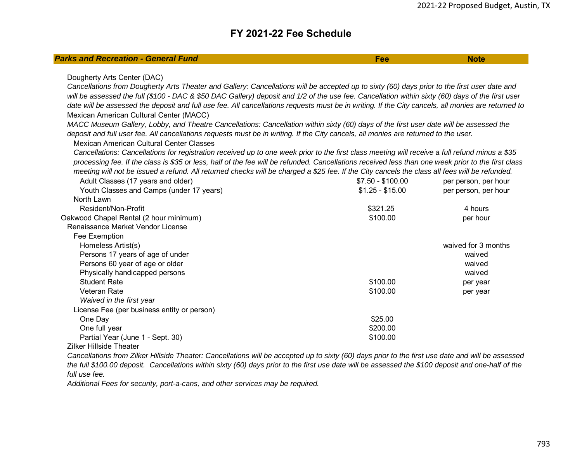| <b>Parks and Recreation - General Fund</b>                                                                                                                                          | Fee               | <b>Note</b>          |
|-------------------------------------------------------------------------------------------------------------------------------------------------------------------------------------|-------------------|----------------------|
|                                                                                                                                                                                     |                   |                      |
| Dougherty Arts Center (DAC)                                                                                                                                                         |                   |                      |
| Cancellations from Dougherty Arts Theater and Gallery: Cancellations will be accepted up to sixty (60) days prior to the first user date and                                        |                   |                      |
| will be assessed the full (\$100 - DAC & \$50 DAC Gallery) deposit and 1/2 of the use fee. Cancellation within sixty (60) days of the first user                                    |                   |                      |
| date will be assessed the deposit and full use fee. All cancellations requests must be in writing. If the City cancels, all monies are returned to                                  |                   |                      |
| Mexican American Cultural Center (MACC)                                                                                                                                             |                   |                      |
| MACC Museum Gallery, Lobby, and Theatre Cancellations: Cancellation within sixty (60) days of the first user date will be assessed the                                              |                   |                      |
| deposit and full user fee. All cancellations requests must be in writing. If the City cancels, all monies are returned to the user.                                                 |                   |                      |
| Mexican American Cultural Center Classes                                                                                                                                            |                   |                      |
| Cancellations: Cancellations for registration received up to one week prior to the first class meeting will receive a full refund minus a \$35                                      |                   |                      |
| processing fee. If the class is \$35 or less, half of the fee will be refunded. Cancellations received less than one week prior to the first class                                  |                   |                      |
| meeting will not be issued a refund. All returned checks will be charged a \$25 fee. If the City cancels the class all fees will be refunded.                                       |                   |                      |
| Adult Classes (17 years and older)                                                                                                                                                  | $$7.50 - $100.00$ | per person, per hour |
| Youth Classes and Camps (under 17 years)                                                                                                                                            | $$1.25 - $15.00$  | per person, per hour |
| North Lawn                                                                                                                                                                          |                   |                      |
| Resident/Non-Profit                                                                                                                                                                 | \$321.25          | 4 hours              |
| Oakwood Chapel Rental (2 hour minimum)                                                                                                                                              | \$100.00          | per hour             |
| Renaissance Market Vendor License                                                                                                                                                   |                   |                      |
| Fee Exemption                                                                                                                                                                       |                   |                      |
| Homeless Artist(s)                                                                                                                                                                  |                   | waived for 3 months  |
| Persons 17 years of age of under                                                                                                                                                    |                   | waived               |
| Persons 60 year of age or older                                                                                                                                                     |                   | waived               |
| Physically handicapped persons                                                                                                                                                      |                   | waived               |
| <b>Student Rate</b>                                                                                                                                                                 | \$100.00          | per year             |
| Veteran Rate                                                                                                                                                                        | \$100.00          | per year             |
| Waived in the first year                                                                                                                                                            |                   |                      |
| License Fee (per business entity or person)                                                                                                                                         |                   |                      |
| One Day                                                                                                                                                                             | \$25.00           |                      |
| One full year                                                                                                                                                                       | \$200.00          |                      |
| Partial Year (June 1 - Sept. 30)                                                                                                                                                    | \$100.00          |                      |
| <b>Zilker Hillside Theater</b><br>Cancellations from Zilker Hillside Theater: Cancellations will be accented un to sixty (60) days prior to the first use date and will be assessed |                   |                      |

*Cancellations from Zilker Hillside Theater: Cancellations will be accepted up to sixty (60) days prior to the first use date and will be assessed the full \$100.00 deposit. Cancellations within sixty (60) days prior to the first use date will be assessed the \$100 deposit and one-half of the full use fee.*

*Additional Fees for security, port-a-cans, and other services may be required.*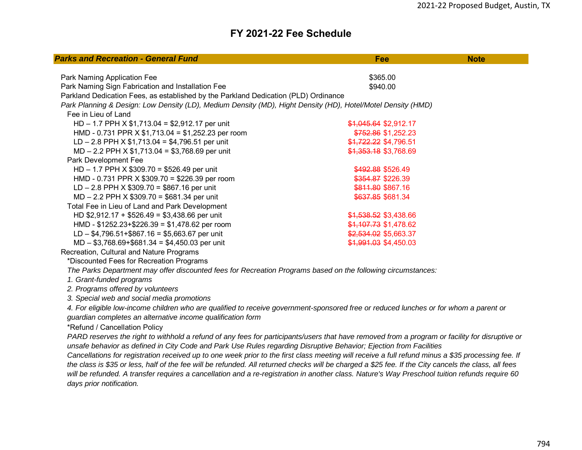| <b>Parks and Recreation - General Fund</b>                                                                                                           | Fee                   | <b>Note</b> |
|------------------------------------------------------------------------------------------------------------------------------------------------------|-----------------------|-------------|
|                                                                                                                                                      |                       |             |
| Park Naming Application Fee                                                                                                                          | \$365.00              |             |
| Park Naming Sign Fabrication and Installation Fee                                                                                                    | \$940.00              |             |
| Parkland Dedication Fees, as established by the Parkland Dedication (PLD) Ordinance                                                                  |                       |             |
| Park Planning & Design: Low Density (LD), Medium Density (MD), Hight Density (HD), Hotel/Motel Density (HMD)                                         |                       |             |
| Fee in Lieu of Land                                                                                                                                  |                       |             |
| HD - 1.7 PPH X $$1,713.04 = $2,912.17$ per unit                                                                                                      | \$1,045.64 \$2,912.17 |             |
| HMD - 0.731 PPR X $$1,713.04 = $1,252.23$ per room                                                                                                   | \$752.86 \$1,252.23   |             |
| LD - 2.8 PPH X $$1,713.04 = $4,796.51$ per unit                                                                                                      | \$1,722.22 \$4,796.51 |             |
| $MD - 2.2$ PPH X \$1,713.04 = \$3,768.69 per unit                                                                                                    | \$1,353.18 \$3,768.69 |             |
| Park Development Fee                                                                                                                                 |                       |             |
| $HD - 1.7$ PPH X \$309.70 = \$526.49 per unit                                                                                                        | \$492.88 \$526.49     |             |
| HMD - 0.731 PPR X \$309.70 = \$226.39 per room                                                                                                       | \$354.87 \$226.39     |             |
| LD - 2.8 PPH X $$309.70 = $867.16$ per unit                                                                                                          | \$811.80 \$867.16     |             |
| $MD - 2.2$ PPH X $$309.70 = $681.34$ per unit                                                                                                        | \$637.85 \$681.34     |             |
| Total Fee in Lieu of Land and Park Development                                                                                                       |                       |             |
| HD \$2,912.17 + \$526.49 = \$3,438.66 per unit                                                                                                       | \$1,538.52 \$3,438.66 |             |
| HMD - $$1252.23 + $226.39 = $1,478.62$ per room                                                                                                      | \$1,107.73 \$1,478.62 |             |
| LD - $$4,796.51 + $867.16 = $5,663.67$ per unit                                                                                                      | \$2,534.02 \$5,663.37 |             |
| $MD - $3,768.69 + $681.34 = $4,450.03$ per unit                                                                                                      | \$1,991.03 \$4,450.03 |             |
| Recreation, Cultural and Nature Programs                                                                                                             |                       |             |
| *Discounted Fees for Recreation Programs                                                                                                             |                       |             |
| The Parks Department may offer discounted fees for Recreation Programs based on the following circumstances:                                         |                       |             |
| 1. Grant-funded programs                                                                                                                             |                       |             |
| 2. Programs offered by volunteers                                                                                                                    |                       |             |
| 3. Special web and social media promotions                                                                                                           |                       |             |
| 4. For eligible low-income children who are qualified to receive government-sponsored free or reduced lunches or for whom a parent or                |                       |             |
| guardian completes an alternative income qualification form                                                                                          |                       |             |
| *Refund / Cancellation Policy                                                                                                                        |                       |             |
| PARD reserves the right to withhold a refund of any fees for participants/users that have removed from a program or facility for disruptive or       |                       |             |
| unsafe behavior as defined in City Code and Park Use Rules regarding Disruptive Behavior; Ejection from Facilities                                   |                       |             |
| Cancellations for registration received up to one week prior to the first class meeting will receive a full refund minus a \$35 processing fee. If   |                       |             |
| the class is \$35 or less, half of the fee will be refunded. All returned checks will be charged a \$25 fee. If the City cancels the class, all fees |                       |             |
| will be refunded. A transfer requires a cancellation and a re-registration in another class. Nature's Way Preschool tuition refunds require 60       |                       |             |
| days prior notification.                                                                                                                             |                       |             |
|                                                                                                                                                      |                       |             |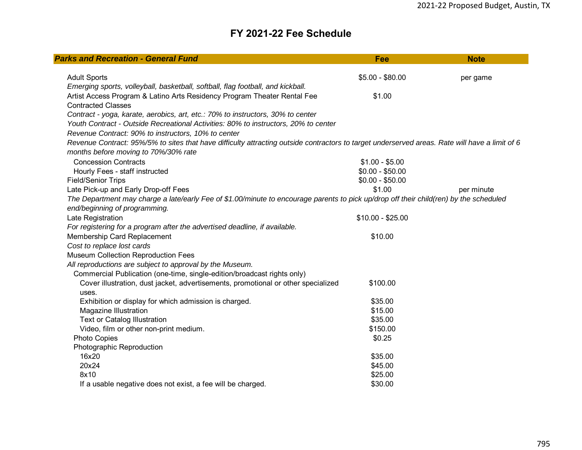| <b>Parks and Recreation - General Fund</b>                                                                                                     | Fee               | <b>Note</b> |
|------------------------------------------------------------------------------------------------------------------------------------------------|-------------------|-------------|
|                                                                                                                                                |                   |             |
| <b>Adult Sports</b>                                                                                                                            | $$5.00 - $80.00$  | per game    |
| Emerging sports, volleyball, basketball, softball, flag football, and kickball.                                                                |                   |             |
| Artist Access Program & Latino Arts Residency Program Theater Rental Fee                                                                       | \$1.00            |             |
| <b>Contracted Classes</b>                                                                                                                      |                   |             |
| Contract - yoga, karate, aerobics, art, etc.: 70% to instructors, 30% to center                                                                |                   |             |
| Youth Contract - Outside Recreational Activities: 80% to instructors, 20% to center                                                            |                   |             |
| Revenue Contract: 90% to instructors, 10% to center                                                                                            |                   |             |
| Revenue Contract: 95%/5% to sites that have difficulty attracting outside contractors to target underserved areas. Rate will have a limit of 6 |                   |             |
| months before moving to 70%/30% rate                                                                                                           |                   |             |
| <b>Concession Contracts</b>                                                                                                                    | $$1.00 - $5.00$   |             |
| Hourly Fees - staff instructed                                                                                                                 | $$0.00 - $50.00$  |             |
| <b>Field/Senior Trips</b>                                                                                                                      | $$0.00 - $50.00$  |             |
| Late Pick-up and Early Drop-off Fees                                                                                                           | \$1.00            | per minute  |
| The Department may charge a late/early Fee of \$1.00/minute to encourage parents to pick up/drop off their child(ren) by the scheduled         |                   |             |
| end/beginning of programming.                                                                                                                  |                   |             |
| Late Registration                                                                                                                              | $$10.00 - $25.00$ |             |
| For registering for a program after the advertised deadline, if available.                                                                     |                   |             |
| Membership Card Replacement                                                                                                                    | \$10.00           |             |
| Cost to replace lost cards                                                                                                                     |                   |             |
| <b>Museum Collection Reproduction Fees</b>                                                                                                     |                   |             |
| All reproductions are subject to approval by the Museum.                                                                                       |                   |             |
| Commercial Publication (one-time, single-edition/broadcast rights only)                                                                        |                   |             |
| Cover illustration, dust jacket, advertisements, promotional or other specialized                                                              | \$100.00          |             |
| uses.                                                                                                                                          |                   |             |
| Exhibition or display for which admission is charged.                                                                                          | \$35.00           |             |
| <b>Magazine Illustration</b>                                                                                                                   | \$15.00           |             |
| <b>Text or Catalog Illustration</b>                                                                                                            | \$35.00           |             |
| Video, film or other non-print medium.                                                                                                         | \$150.00          |             |
| Photo Copies                                                                                                                                   | \$0.25            |             |
| Photographic Reproduction                                                                                                                      |                   |             |
| 16x20                                                                                                                                          | \$35.00           |             |
| 20x24                                                                                                                                          | \$45.00           |             |
| 8x10                                                                                                                                           | \$25.00           |             |
| If a usable negative does not exist, a fee will be charged.                                                                                    | \$30.00           |             |